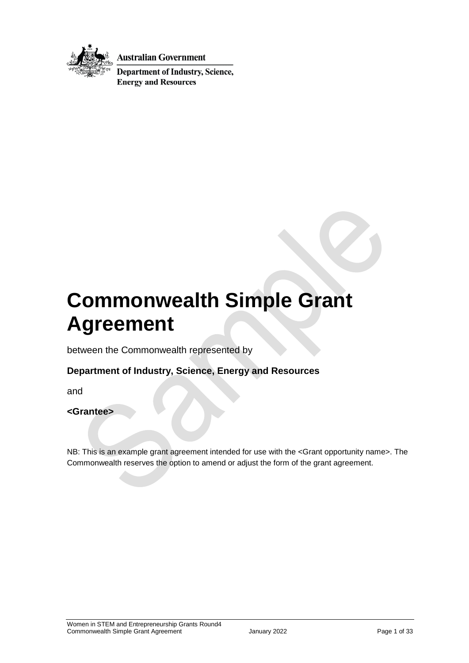

**Australian Government** 

**Department of Industry, Science, Energy and Resources** 

# **Commonwealth Simple Grant Agreement**

between the Commonwealth represented by

### **Department of Industry, Science, Energy and Resources**

and

#### **<Grantee>**

NB: This is an example grant agreement intended for use with the <Grant opportunity name>. The Commonwealth reserves the option to amend or adjust the form of the grant agreement.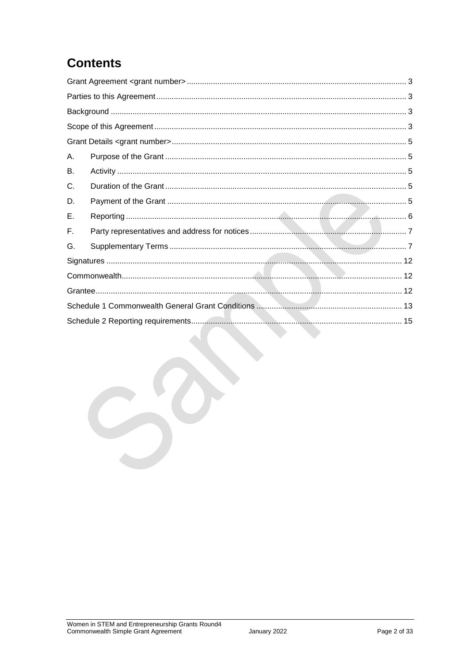## **Contents**

| А. |  |  |
|----|--|--|
| В. |  |  |
| C. |  |  |
| D. |  |  |
| Е. |  |  |
| F. |  |  |
| G. |  |  |
|    |  |  |
|    |  |  |
|    |  |  |
|    |  |  |
|    |  |  |
|    |  |  |
|    |  |  |
|    |  |  |
|    |  |  |
|    |  |  |
|    |  |  |
|    |  |  |
|    |  |  |
|    |  |  |
|    |  |  |
|    |  |  |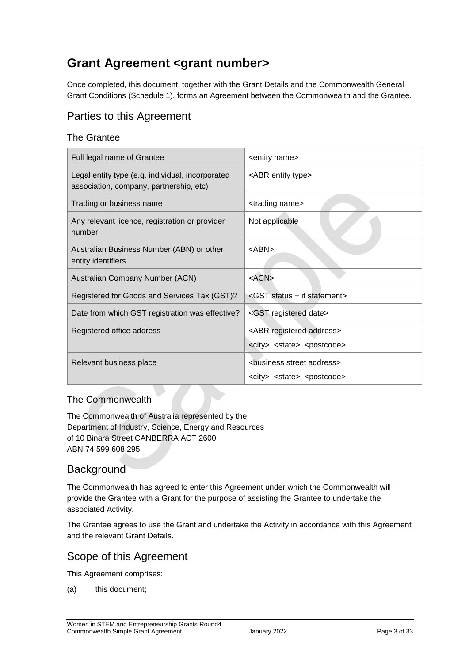## <span id="page-2-0"></span>**Grant Agreement <grant number>**

Once completed, this document, together with the Grant Details and the Commonwealth General Grant Conditions (Schedule 1), forms an Agreement between the Commonwealth and the Grantee.

### <span id="page-2-1"></span>Parties to this Agreement

### The Grantee

| Full legal name of Grantee                                                                  | <entity name=""></entity>                                                                          |
|---------------------------------------------------------------------------------------------|----------------------------------------------------------------------------------------------------|
| Legal entity type (e.g. individual, incorporated<br>association, company, partnership, etc) | <abr entity="" type=""></abr>                                                                      |
| Trading or business name                                                                    | <trading name=""></trading>                                                                        |
| Any relevant licence, registration or provider<br>number                                    | Not applicable                                                                                     |
| Australian Business Number (ABN) or other<br>entity identifiers                             | <abn></abn>                                                                                        |
| Australian Company Number (ACN)                                                             | $<$ ACN $>$                                                                                        |
| Registered for Goods and Services Tax (GST)?                                                | <gst +="" if="" statement="" status=""></gst>                                                      |
| Date from which GST registration was effective?                                             | <gst date="" registered=""></gst>                                                                  |
| Registered office address                                                                   | <abr address="" registered=""><br/><city> <state> <postcode></postcode></state></city></abr>       |
| Relevant business place                                                                     | <business address="" street=""><br/><city> <state> <postcode></postcode></state></city></business> |

### The Commonwealth

The Commonwealth of Australia represented by the Department of Industry, Science, Energy and Resources of 10 Binara Street CANBERRA ACT 2600 ABN 74 599 608 295

### <span id="page-2-2"></span>**Background**

The Commonwealth has agreed to enter this Agreement under which the Commonwealth will provide the Grantee with a Grant for the purpose of assisting the Grantee to undertake the associated Activity.

The Grantee agrees to use the Grant and undertake the Activity in accordance with this Agreement and the relevant Grant Details.

### <span id="page-2-3"></span>Scope of this Agreement

This Agreement comprises:

(a) this document;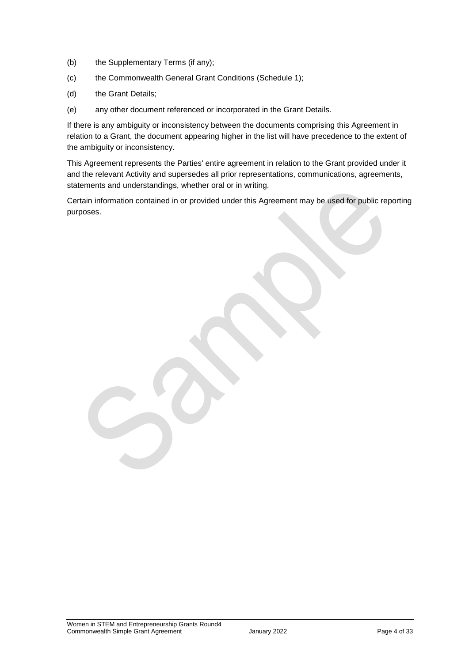- (b) the Supplementary Terms (if any);
- (c) the Commonwealth General Grant Conditions (Schedule 1);
- (d) the Grant Details;
- (e) any other document referenced or incorporated in the Grant Details.

If there is any ambiguity or inconsistency between the documents comprising this Agreement in relation to a Grant, the document appearing higher in the list will have precedence to the extent of the ambiguity or inconsistency.

This Agreement represents the Parties' entire agreement in relation to the Grant provided under it and the relevant Activity and supersedes all prior representations, communications, agreements, statements and understandings, whether oral or in writing.

Certain information contained in or provided under this Agreement may be used for public reporting purposes.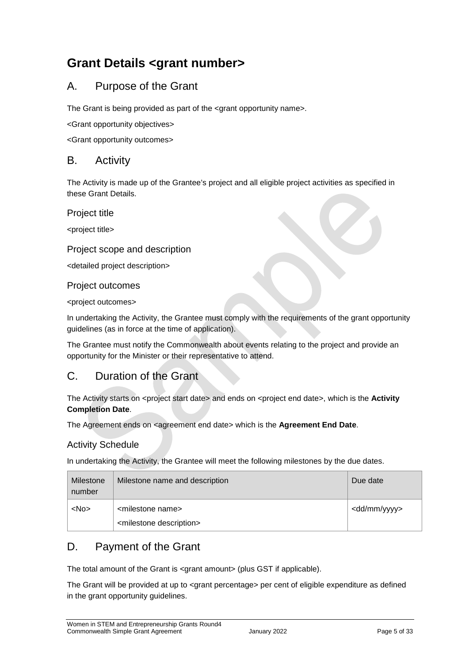## <span id="page-4-0"></span>**Grant Details <grant number>**

### <span id="page-4-1"></span>A. Purpose of the Grant

The Grant is being provided as part of the <grant opportunity name>.

<Grant opportunity objectives>

<Grant opportunity outcomes>

### <span id="page-4-2"></span>B. Activity

The Activity is made up of the Grantee's project and all eligible project activities as specified in these Grant Details.

Project title

<project title>

#### Project scope and description

<detailed project description>

#### Project outcomes

<project outcomes>

In undertaking the Activity, the Grantee must comply with the requirements of the grant opportunity guidelines (as in force at the time of application).

The Grantee must notify the Commonwealth about events relating to the project and provide an opportunity for the Minister or their representative to attend.

### <span id="page-4-3"></span>C. Duration of the Grant

The Activity starts on <project start date> and ends on <project end date>, which is the **Activity Completion Date**.

The Agreement ends on <agreement end date> which is the **Agreement End Date**.

#### Activity Schedule

In undertaking the Activity, the Grantee will meet the following milestones by the due dates.

| Milestone<br>number | Milestone name and description                                             | Due date                |
|---------------------|----------------------------------------------------------------------------|-------------------------|
| <no></no>           | <milestone name=""><br/><milestone description=""></milestone></milestone> | <dd mm="" yyyy=""></dd> |

### <span id="page-4-4"></span>D. Payment of the Grant

The total amount of the Grant is <grant amount> (plus GST if applicable).

The Grant will be provided at up to <grant percentage> per cent of eligible expenditure as defined in the grant opportunity guidelines.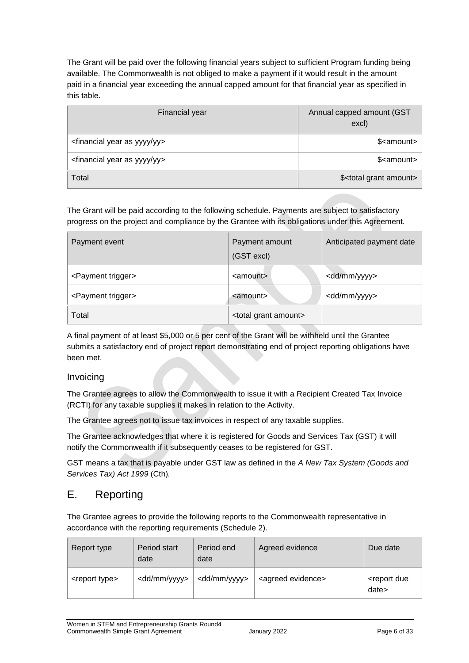The Grant will be paid over the following financial years subject to sufficient Program funding being available. The Commonwealth is not obliged to make a payment if it would result in the amount paid in a financial year exceeding the annual capped amount for that financial year as specified in this table.

| Financial year                                      | Annual capped amount (GST<br>excl)    |
|-----------------------------------------------------|---------------------------------------|
| <financial as="" year="" yy="" yyyy=""></financial> | \$ <amount></amount>                  |
| <financial as="" year="" yy="" yyyy=""></financial> | \$ <amount></amount>                  |
| Total                                               | \$ <total amount="" grant=""></total> |

The Grant will be paid according to the following schedule. Payments are subject to satisfactory progress on the project and compliance by the Grantee with its obligations under this Agreement.

| Payment event                  | Payment amount<br>(GST excl)       | Anticipated payment date |
|--------------------------------|------------------------------------|--------------------------|
| <payment trigger=""></payment> | <amount></amount>                  | <dd mm="" yyyy=""></dd>  |
| <payment trigger=""></payment> | <amount></amount>                  | <dd mm="" yyyy=""></dd>  |
| Total                          | <total amount="" grant=""></total> |                          |

A final payment of at least \$5,000 or 5 per cent of the Grant will be withheld until the Grantee submits a satisfactory end of project report demonstrating end of project reporting obligations have been met.

#### Invoicing

The Grantee agrees to allow the Commonwealth to issue it with a Recipient Created Tax Invoice (RCTI) for any taxable supplies it makes in relation to the Activity.

The Grantee agrees not to issue tax invoices in respect of any taxable supplies.

The Grantee acknowledges that where it is registered for Goods and Services Tax (GST) it will notify the Commonwealth if it subsequently ceases to be registered for GST.

GST means a tax that is payable under GST law as defined in the *A New Tax System (Goods and Services Tax) Act 1999* (Cth)*.* 

### <span id="page-5-0"></span>E. Reporting

The Grantee agrees to provide the following reports to the Commonwealth representative in accordance with the reporting requirements (Schedule 2).

| Report type               | Period start<br>date    | Period end<br>date      | Agreed evidence               | Due date                            |
|---------------------------|-------------------------|-------------------------|-------------------------------|-------------------------------------|
| <report type=""></report> | <dd mm="" yyyy=""></dd> | <dd mm="" yyyy=""></dd> | <agreed evidence=""></agreed> | <report due<br="">date&gt;</report> |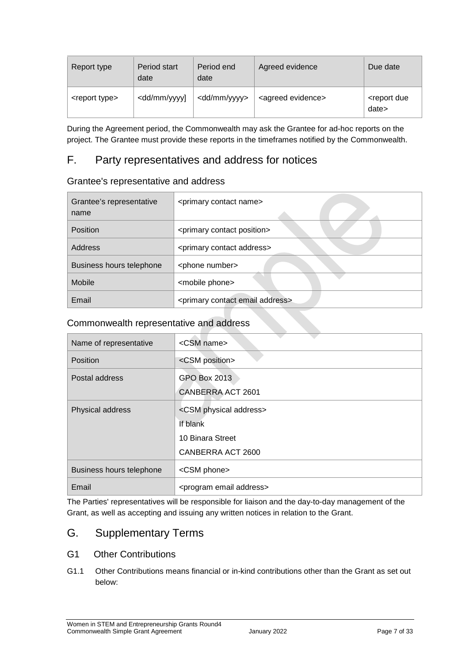| Report type               | Period start<br>date                                                                                                                              | Period end<br>date      | Agreed evidence               | Due date                            |
|---------------------------|---------------------------------------------------------------------------------------------------------------------------------------------------|-------------------------|-------------------------------|-------------------------------------|
| <report type=""></report> | <dd mm="" td="" yyyy]<=""><td><dd mm="" yyyy=""></dd></td><td><agreed evidence=""></agreed></td><td><report due<br="">date&gt;</report></td></dd> | <dd mm="" yyyy=""></dd> | <agreed evidence=""></agreed> | <report due<br="">date&gt;</report> |

During the Agreement period, the Commonwealth may ask the Grantee for ad-hoc reports on the project. The Grantee must provide these reports in the timeframes notified by the Commonwealth.

### <span id="page-6-0"></span>F. Party representatives and address for notices

### Grantee's representative and address

| Grantee's representative<br>name | <primary contact="" name=""></primary>             |
|----------------------------------|----------------------------------------------------|
| <b>Position</b>                  | <primary contact="" position=""></primary>         |
| Address                          | <primary address="" contact=""></primary>          |
| Business hours telephone         | <phone number=""></phone>                          |
| Mobile                           | <mobile phone=""></mobile>                         |
| Email                            | <primary address="" contact="" email=""></primary> |

### Commonwealth representative and address

| Name of representative   | <csm name=""></csm>                     |
|--------------------------|-----------------------------------------|
| Position                 | <csm position=""></csm>                 |
| Postal address           | GPO Box 2013                            |
|                          | <b>CANBERRA ACT 2601</b>                |
| Physical address         | <csm address="" physical=""></csm>      |
|                          | If blank                                |
|                          | 10 Binara Street                        |
|                          | CANBERRA ACT 2600                       |
| Business hours telephone | <csm phone=""></csm>                    |
| Email                    | <program address="" email=""></program> |

The Parties' representatives will be responsible for liaison and the day-to-day management of the Grant, as well as accepting and issuing any written notices in relation to the Grant.

### <span id="page-6-1"></span>G. Supplementary Terms

### G1 Other Contributions

G1.1 Other Contributions means financial or in-kind contributions other than the Grant as set out below: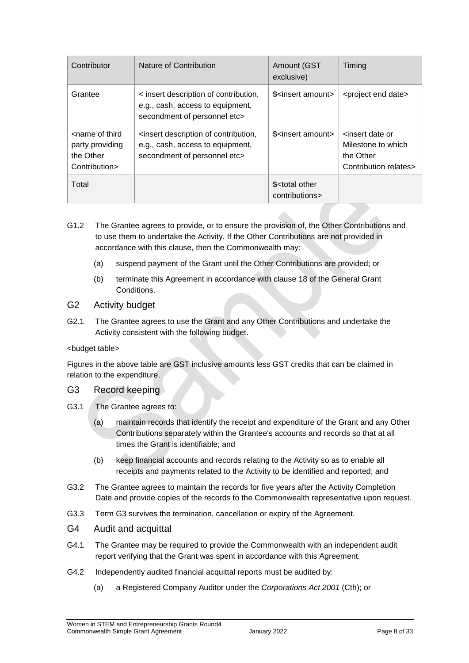| Contributor                                                                       | Nature of Contribution                                                                                    | <b>Amount (GST</b><br>exclusive)                | Timing                                                                                          |
|-----------------------------------------------------------------------------------|-----------------------------------------------------------------------------------------------------------|-------------------------------------------------|-------------------------------------------------------------------------------------------------|
| Grantee                                                                           | < insert description of contribution,<br>e.g., cash, access to equipment,<br>secondment of personnel etc> | \$ <insert amount=""></insert>                  | <project date="" end=""></project>                                                              |
| <name of="" third<br="">party providing<br/>the Other<br/>Contribution&gt;</name> | sinsert description of contribution,<br>e.g., cash, access to equipment,<br>secondment of personnel etc>  | \$ <insert amount=""></insert>                  | <insert date="" or<br="">Milestone to which<br/>the Other<br/>Contribution relates&gt;</insert> |
| Total                                                                             |                                                                                                           | \$ <total other<br="">contributions&gt;</total> |                                                                                                 |

G1.2 The Grantee agrees to provide, or to ensure the provision of, the Other Contributions and to use them to undertake the Activity. If the Other Contributions are not provided in accordance with this clause, then the Commonwealth may:

- (a) suspend payment of the Grant until the Other Contributions are provided; or
- (b) terminate this Agreement in accordance with clause 18 of the General Grant **Conditions**

#### G2 Activity budget

G2.1 The Grantee agrees to use the Grant and any Other Contributions and undertake the Activity consistent with the following budget.

#### <budget table>

Figures in the above table are GST inclusive amounts less GST credits that can be claimed in relation to the expenditure.

#### G3 Record keeping

- G3.1 The Grantee agrees to:
	- (a) maintain records that identify the receipt and expenditure of the Grant and any Other Contributions separately within the Grantee's accounts and records so that at all times the Grant is identifiable; and
	- (b) keep financial accounts and records relating to the Activity so as to enable all receipts and payments related to the Activity to be identified and reported; and
- G3.2 The Grantee agrees to maintain the records for five years after the Activity Completion Date and provide copies of the records to the Commonwealth representative upon request.
- G3.3 Term G3 survives the termination, cancellation or expiry of the Agreement.
- G4 Audit and acquittal
- G4.1 The Grantee may be required to provide the Commonwealth with an independent audit report verifying that the Grant was spent in accordance with this Agreement.
- G4.2 Independently audited financial acquittal reports must be audited by:
	- (a) a Registered Company Auditor under the *Corporations Act 2001* (Cth); or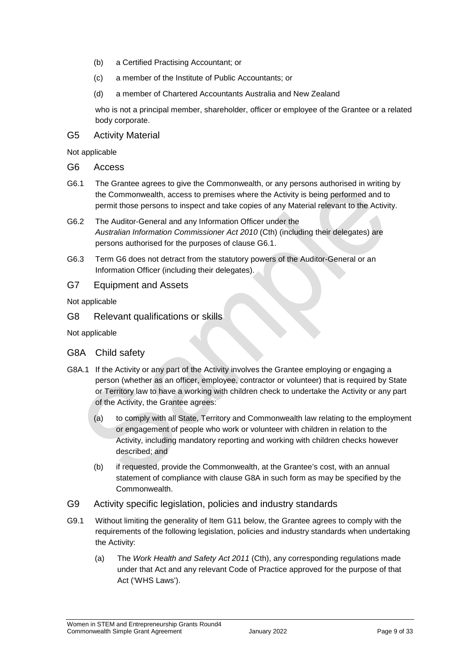- (b) a Certified Practising Accountant; or
- (c) a member of the Institute of Public Accountants; or
- (d) a member of Chartered Accountants Australia and New Zealand

who is not a principal member, shareholder, officer or employee of the Grantee or a related body corporate.

G5 Activity Material

Not applicable

- G6 Access
- G6.1 The Grantee agrees to give the Commonwealth, or any persons authorised in writing by the Commonwealth, access to premises where the Activity is being performed and to permit those persons to inspect and take copies of any Material relevant to the Activity.
- G6.2 The Auditor-General and any Information Officer under the *Australian Information Commissioner Act 2010* (Cth) (including their delegates) are persons authorised for the purposes of clause G6.1.
- G6.3 Term G6 does not detract from the statutory powers of the Auditor-General or an Information Officer (including their delegates).

### G7 Equipment and Assets

Not applicable

G8 Relevant qualifications or skills

Not applicable

- G8A Child safety
- G8A.1 If the Activity or any part of the Activity involves the Grantee employing or engaging a person (whether as an officer, employee, contractor or volunteer) that is required by State or Territory law to have a working with children check to undertake the Activity or any part of the Activity, the Grantee agrees:
	- (a) to comply with all State, Territory and Commonwealth law relating to the employment or engagement of people who work or volunteer with children in relation to the Activity, including mandatory reporting and working with children checks however described; and
	- (b) if requested, provide the Commonwealth, at the Grantee's cost, with an annual statement of compliance with clause G8A in such form as may be specified by the Commonwealth.
- G9 Activity specific legislation, policies and industry standards
- G9.1 Without limiting the generality of Item G11 below, the Grantee agrees to comply with the requirements of the following legislation, policies and industry standards when undertaking the Activity:
	- (a) The *Work Health and Safety Act 2011* (Cth), any corresponding regulations made under that Act and any relevant Code of Practice approved for the purpose of that Act ('WHS Laws').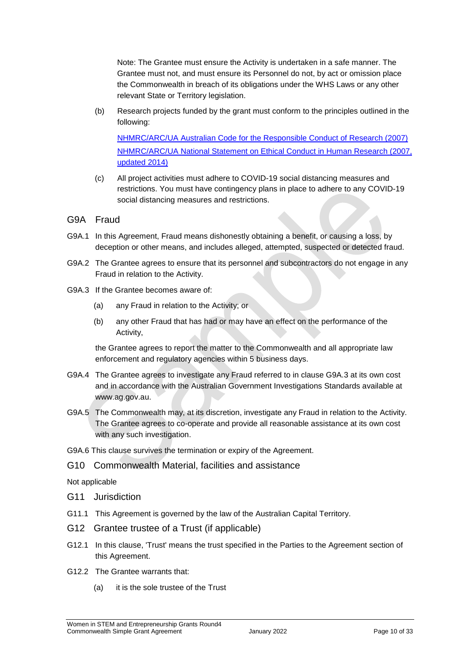Note: The Grantee must ensure the Activity is undertaken in a safe manner. The Grantee must not, and must ensure its Personnel do not, by act or omission place the Commonwealth in breach of its obligations under the WHS Laws or any other relevant State or Territory legislation.

(b) Research projects funded by the grant must conform to the principles outlined in the following:

[NHMRC/ARC/UA Australian Code for the Responsible Conduct of Research \(2007\)](https://www.nhmrc.gov.au/guidelines-publications/r39) [NHMRC/ARC/UA National Statement on Ethical Conduct in Human Research \(2007,](https://www.nhmrc.gov.au/guidelines-publications/e72)  [updated 2014\)](https://www.nhmrc.gov.au/guidelines-publications/e72) 

(c) All project activities must adhere to COVID-19 social distancing measures and restrictions. You must have contingency plans in place to adhere to any COVID-19 social distancing measures and restrictions.

#### G9A Fraud

- G9A.1 In this Agreement, Fraud means dishonestly obtaining a benefit, or causing a loss, by deception or other means, and includes alleged, attempted, suspected or detected fraud.
- G9A.2 The Grantee agrees to ensure that its personnel and subcontractors do not engage in any Fraud in relation to the Activity.
- G9A.3 If the Grantee becomes aware of:
	- (a) any Fraud in relation to the Activity; or
	- (b) any other Fraud that has had or may have an effect on the performance of the Activity,

the Grantee agrees to report the matter to the Commonwealth and all appropriate law enforcement and regulatory agencies within 5 business days.

- G9A.4 The Grantee agrees to investigate any Fraud referred to in clause G9A.3 at its own cost and in accordance with the Australian Government Investigations Standards available at [www.ag.gov.au.](http://www.ag.gov.au/)
- G9A.5 The Commonwealth may, at its discretion, investigate any Fraud in relation to the Activity. The Grantee agrees to co-operate and provide all reasonable assistance at its own cost with any such investigation.
- G9A.6 This clause survives the termination or expiry of the Agreement.

#### G10 Commonwealth Material, facilities and assistance

Not applicable

- G11 Jurisdiction
- G11.1 This Agreement is governed by the law of the Australian Capital Territory.
- G12 Grantee trustee of a Trust (if applicable)
- G12.1 In this clause, 'Trust' means the trust specified in the Parties to the Agreement section of this Agreement.
- G12.2 The Grantee warrants that:
	- (a) it is the sole trustee of the Trust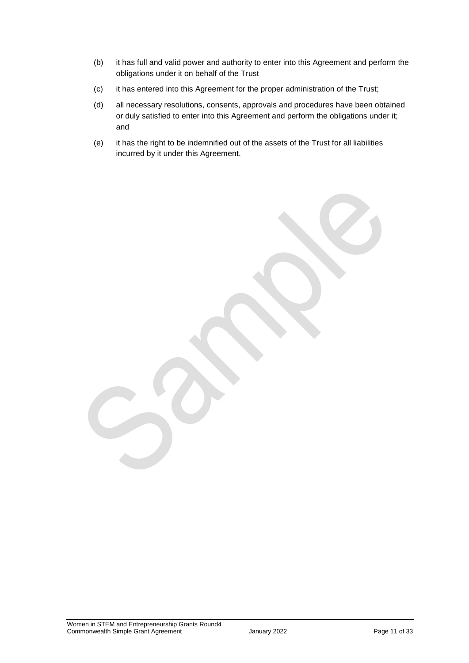- (b) it has full and valid power and authority to enter into this Agreement and perform the obligations under it on behalf of the Trust
- (c) it has entered into this Agreement for the proper administration of the Trust;
- (d) all necessary resolutions, consents, approvals and procedures have been obtained or duly satisfied to enter into this Agreement and perform the obligations under it; and
- (e) it has the right to be indemnified out of the assets of the Trust for all liabilities incurred by it under this Agreement.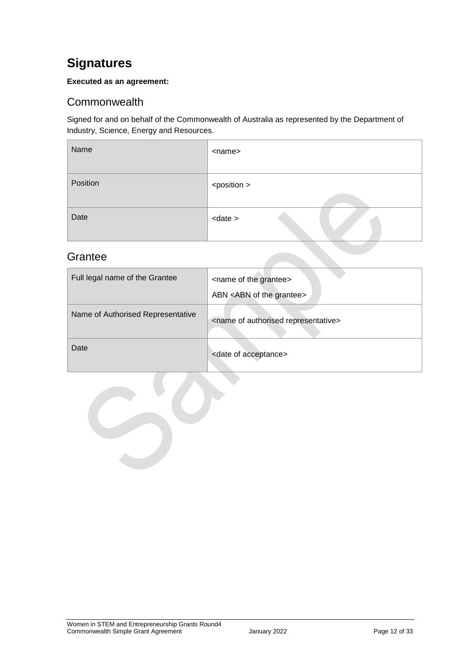## <span id="page-11-0"></span>**Signatures**

#### **Executed as an agreement:**

### <span id="page-11-1"></span>**Commonwealth**

Signed for and on behalf of the Commonwealth of Australia as represented by the Department of Industry, Science, Energy and Resources.

| Name     | <name></name>         |
|----------|-----------------------|
| Position | <position></position> |
| Date     | $<$ date $>$          |

### <span id="page-11-2"></span>**Grantee**

| Full legal name of the Grantee    | <name grantee="" of="" the=""><br/>ABN <abn grantee="" of="" the=""></abn></name> |
|-----------------------------------|-----------------------------------------------------------------------------------|
| Name of Authorised Representative | <name authorised="" of="" representative=""></name>                               |
| Date                              | <date acceptance="" of=""></date>                                                 |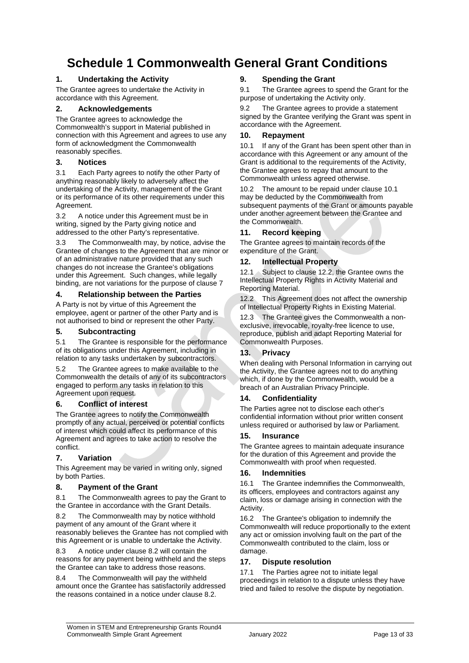## <span id="page-12-0"></span>**Schedule 1 Commonwealth General Grant Conditions**

#### **1. Undertaking the Activity**

The Grantee agrees to undertake the Activity in accordance with this Agreement.

#### **2. Acknowledgements**

The Grantee agrees to acknowledge the Commonwealth's support in Material published in connection with this Agreement and agrees to use any form of acknowledgment the Commonwealth reasonably specifies.

#### **3. Notices**

3.1 Each Party agrees to notify the other Party of anything reasonably likely to adversely affect the undertaking of the Activity, management of the Grant or its performance of its other requirements under this Agreement.

3.2 A notice under this Agreement must be in writing, signed by the Party giving notice and addressed to the other Party's representative.

3.3 The Commonwealth may, by notice, advise the Grantee of changes to the Agreement that are minor or of an administrative nature provided that any such changes do not increase the Grantee's obligations under this Agreement. Such changes, while legally binding, are not variations for the purpose of clause 7

#### **4. Relationship between the Parties**

A Party is not by virtue of this Agreement the employee, agent or partner of the other Party and is not authorised to bind or represent the other Party.

#### **5. Subcontracting**

5.1 The Grantee is responsible for the performance of its obligations under this Agreement, including in relation to any tasks undertaken by subcontractors.

5.2 The Grantee agrees to make available to the Commonwealth the details of any of its subcontractors engaged to perform any tasks in relation to this Agreement upon request.

#### **6. Conflict of interest**

The Grantee agrees to notify the Commonwealth promptly of any actual, perceived or potential conflicts of interest which could affect its performance of this Agreement and agrees to take action to resolve the conflict.

#### **7. Variation**

This Agreement may be varied in writing only, signed by both Parties.

#### **8. Payment of the Grant**

8.1 The Commonwealth agrees to pay the Grant to the Grantee in accordance with the Grant Details.

8.2 The Commonwealth may by notice withhold payment of any amount of the Grant where it reasonably believes the Grantee has not complied with this Agreement or is unable to undertake the Activity.

8.3 A notice under clause 8.2 will contain the reasons for any payment being withheld and the steps the Grantee can take to address those reasons.

8.4 The Commonwealth will pay the withheld amount once the Grantee has satisfactorily addressed the reasons contained in a notice under clause 8.2.

#### **9. Spending the Grant**

9.1 The Grantee agrees to spend the Grant for the purpose of undertaking the Activity only.

9.2 The Grantee agrees to provide a statement signed by the Grantee verifying the Grant was spent in accordance with the Agreement.

#### **10. Repayment**

10.1 If any of the Grant has been spent other than in accordance with this Agreement or any amount of the Grant is additional to the requirements of the Activity, the Grantee agrees to repay that amount to the Commonwealth unless agreed otherwise.

10.2 The amount to be repaid under clause 10.1 may be deducted by the Commonwealth from subsequent payments of the Grant or amounts payable under another agreement between the Grantee and the Commonwealth.

#### **11. Record keeping**

The Grantee agrees to maintain records of the expenditure of the Grant.

#### **12. Intellectual Property**

12.1 Subject to clause 12.2, the Grantee owns the Intellectual Property Rights in Activity Material and Reporting Material.

12.2 This Agreement does not affect the ownership of Intellectual Property Rights in Existing Material.

12.3 The Grantee gives the Commonwealth a nonexclusive, irrevocable, royalty-free licence to use, reproduce, publish and adapt Reporting Material for Commonwealth Purposes.

#### **13. Privacy**

When dealing with Personal Information in carrying out the Activity, the Grantee agrees not to do anything which, if done by the Commonwealth, would be a breach of an Australian Privacy Principle.

#### **14. Confidentiality**

The Parties agree not to disclose each other's confidential information without prior written consent unless required or authorised by law or Parliament.

#### **15. Insurance**

The Grantee agrees to maintain adequate insurance for the duration of this Agreement and provide the Commonwealth with proof when requested.

#### **16. Indemnities**

16.1 The Grantee indemnifies the Commonwealth, its officers, employees and contractors against any claim, loss or damage arising in connection with the Activity.

16.2 The Grantee's obligation to indemnify the Commonwealth will reduce proportionally to the extent any act or omission involving fault on the part of the Commonwealth contributed to the claim, loss or damage.

#### **17. Dispute resolution**

17.1 The Parties agree not to initiate legal proceedings in relation to a dispute unless they have tried and failed to resolve the dispute by negotiation.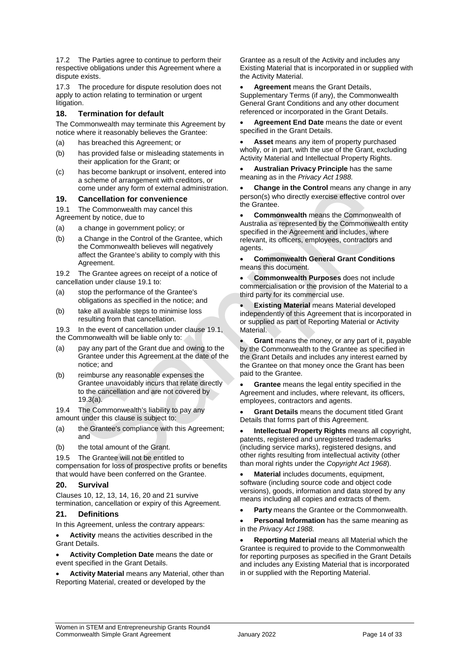17.2 The Parties agree to continue to perform their respective obligations under this Agreement where a dispute exists.

17.3 The procedure for dispute resolution does not apply to action relating to termination or urgent litigation.

#### **18. Termination for default**

The Commonwealth may terminate this Agreement by notice where it reasonably believes the Grantee:

- (a) has breached this Agreement; or
- (b) has provided false or misleading statements in their application for the Grant; or
- (c) has become bankrupt or insolvent, entered into a scheme of arrangement with creditors, or come under any form of external administration.

#### **19. Cancellation for convenience**

19.1 The Commonwealth may cancel this

Agreement by notice, due to

- (a) a change in government policy; or
- (b) a Change in the Control of the Grantee, which the Commonwealth believes will negatively affect the Grantee's ability to comply with this Agreement.

19.2 The Grantee agrees on receipt of a notice of cancellation under clause 19.1 to:

- (a) stop the performance of the Grantee's obligations as specified in the notice; and
- (b) take all available steps to minimise loss resulting from that cancellation.

19.3 In the event of cancellation under clause 19.1, the Commonwealth will be liable only to:

- (a) pay any part of the Grant due and owing to the Grantee under this Agreement at the date of the notice; and
- (b) reimburse any reasonable expenses the Grantee unavoidably incurs that relate directly to the cancellation and are not covered by 19.3(a).

19.4 The Commonwealth's liability to pay any amount under this clause is subject to:

- (a) the Grantee's compliance with this Agreement; and
- (b) the total amount of the Grant.

19.5 The Grantee will not be entitled to

compensation for loss of prospective profits or benefits that would have been conferred on the Grantee.

#### **20. Survival**

Clauses 10, 12, 13, 14, 16, 20 and 21 survive termination, cancellation or expiry of this Agreement.

#### **21. Definitions**

In this Agreement, unless the contrary appears:

 **Activity** means the activities described in the Grant Details.

- **Activity Completion Date** means the date or event specified in the Grant Details.
- <span id="page-13-0"></span> **Activity Material** means any Material, other than Reporting Material, created or developed by the

Grantee as a result of the Activity and includes any Existing Material that is incorporated in or supplied with the Activity Material.

 **Agreement** means the Grant Details, Supplementary Terms (if any), the Commonwealth General Grant Conditions and any other document referenced or incorporated in the Grant Details.

 **Agreement End Date** means the date or event specified in the Grant Details.

 **Asset** means any item of property purchased wholly, or in part, with the use of the Grant, excluding Activity Material and Intellectual Property Rights.

 **Australian Privacy Principle** has the same meaning as in the *Privacy Act 1988.*

 **Change in the Control** means any change in any person(s) who directly exercise effective control over the Grantee.

 **Commonwealth** means the Commonwealth of Australia as represented by the Commonwealth entity specified in the Agreement and includes, where relevant, its officers, employees, contractors and agents.

 **Commonwealth General Grant Conditions** means this document.

 **Commonwealth Purposes** does not include commercialisation or the provision of the Material to a third party for its commercial use.

 **Existing Material** means Material developed independently of this Agreement that is incorporated in or supplied as part of Reporting Material or Activity Material.

 **Grant** means the money, or any part of it, payable by the Commonwealth to the Grantee as specified in the Grant Details and includes any interest earned by the Grantee on that money once the Grant has been paid to the Grantee.

 **Grantee** means the legal entity specified in the Agreement and includes, where relevant, its officers, employees, contractors and agents.

 **Grant Details** means the document titled Grant Details that forms part of this Agreement.

 **Intellectual Property Rights** means all copyright, patents, registered and unregistered trademarks (including service marks), registered designs, and other rights resulting from intellectual activity (other than moral rights under the *Copyright Act 1968*).

 **Material** includes documents, equipment, software (including source code and object code versions), goods, information and data stored by any means including all copies and extracts of them.

**Party** means the Grantee or the Commonwealth.

 **Personal Information** has the same meaning as in the *Privacy Act 1988.*

 **Reporting Material** means all Material which the Grantee is required to provide to the Commonwealth for reporting purposes as specified in the Grant Details and includes any Existing Material that is incorporated in or supplied with the Reporting Material.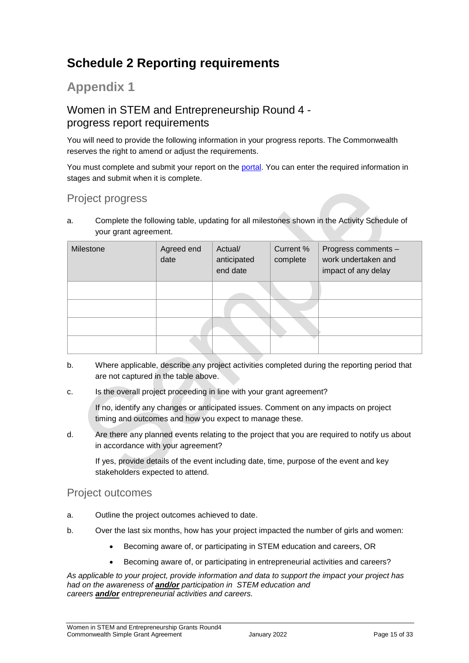## **Schedule 2 Reporting requirements**

## **Appendix 1**

### Women in STEM and Entrepreneurship Round 4 progress report requirements

You will need to provide the following information in your progress reports. The Commonwealth reserves the right to amend or adjust the requirements.

You must complete and submit your report on the [portal.](https://portal.business.gov.au/) You can enter the required information in stages and submit when it is complete.

### Project progress

a. Complete the following table, updating for all milestones shown in the Activity Schedule of your grant agreement.

| Milestone | Agreed end<br>date | Actual/<br>anticipated<br>end date | Current %<br>complete | Progress comments -<br>work undertaken and<br>impact of any delay |
|-----------|--------------------|------------------------------------|-----------------------|-------------------------------------------------------------------|
|           |                    |                                    |                       |                                                                   |
|           |                    |                                    |                       |                                                                   |
|           |                    |                                    |                       |                                                                   |
|           |                    |                                    |                       |                                                                   |

- b. Where applicable, describe any project activities completed during the reporting period that are not captured in the table above.
- c. Is the overall project proceeding in line with your grant agreement?

If no, identify any changes or anticipated issues. Comment on any impacts on project timing and outcomes and how you expect to manage these.

d. Are there any planned events relating to the project that you are required to notify us about in accordance with your agreement?

If yes, provide details of the event including date, time, purpose of the event and key stakeholders expected to attend.

### Project outcomes

- a. Outline the project outcomes achieved to date.
- b. Over the last six months, how has your project impacted the number of girls and women:
	- Becoming aware of, or participating in STEM education and careers, OR
	- Becoming aware of, or participating in entrepreneurial activities and careers?

*As applicable to your project, provide information and data to support the impact your project has had on the awareness of and/or participation in STEM education and careers and/or entrepreneurial activities and careers.*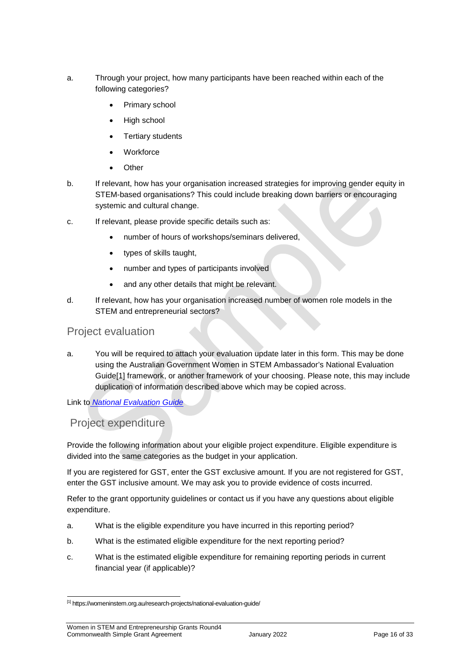- a. Through your project, how many participants have been reached within each of the following categories?
	- Primary school
	- High school
	- Tertiary students
	- **Workforce**
	- **Other**
- b. If relevant, how has your organisation increased strategies for improving gender equity in STEM-based organisations? This could include breaking down barriers or encouraging systemic and cultural change.
- c. If relevant, please provide specific details such as:
	- number of hours of workshops/seminars delivered,
	- types of skills taught,
	- number and types of participants involved
	- and any other details that might be relevant.
- d. If relevant, how has your organisation increased number of women role models in the STEM and entrepreneurial sectors?

### Project evaluation

a. You will be required to attach your evaluation update later in this form. This may be done using the Australian Government Women in STEM Ambassador's National Evaluation Guide[1] framework, or another framework of your choosing. Please note, this may include duplication of information described above which may be copied across.

Link to *[National Evaluation Guide](https://womeninstem.org.au/research-projects/national-evaluation-guide/)*

### Project expenditure

Provide the following information about your eligible project expenditure. Eligible expenditure is divided into the same categories as the budget in your application.

If you are registered for GST, enter the GST exclusive amount. If you are not registered for GST, enter the GST inclusive amount. We may ask you to provide evidence of costs incurred.

Refer to the grant opportunity guidelines or contact us if you have any questions about eligible expenditure.

- a. What is the eligible expenditure you have incurred in this reporting period?
- b. What is the estimated eligible expenditure for the next reporting period?
- c. What is the estimated eligible expenditure for remaining reporting periods in current financial year (if applicable)?

1

<sup>[1]</sup> https://womeninstem.org.au/research-projects/national-evaluation-guide/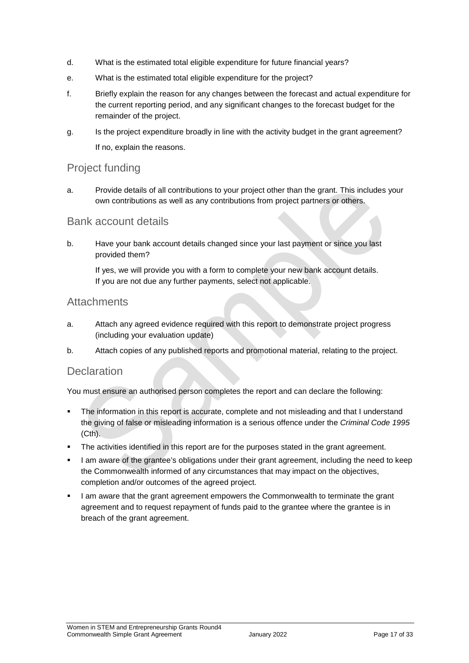- d. What is the estimated total eligible expenditure for future financial years?
- e. What is the estimated total eligible expenditure for the project?
- f. Briefly explain the reason for any changes between the forecast and actual expenditure for the current reporting period, and any significant changes to the forecast budget for the remainder of the project.
- g. Is the project expenditure broadly in line with the activity budget in the grant agreement? If no, explain the reasons.

### Project funding

a. Provide details of all contributions to your project other than the grant. This includes your own contributions as well as any contributions from project partners or others.

### Bank account details

b. Have your bank account details changed since your last payment or since you last provided them?

If yes, we will provide you with a form to complete your new bank account details. If you are not due any further payments, select not applicable.

### **Attachments**

- a. Attach any agreed evidence required with this report to demonstrate project progress (including your evaluation update)
- b. Attach copies of any published reports and promotional material, relating to the project.

### **Declaration**

You must ensure an authorised person completes the report and can declare the following:

- The information in this report is accurate, complete and not misleading and that I understand the giving of false or misleading information is a serious offence under the *Criminal Code 1995* (Cth).
- The activities identified in this report are for the purposes stated in the grant agreement.
- I am aware of the grantee's obligations under their grant agreement, including the need to keep the Commonwealth informed of any circumstances that may impact on the objectives, completion and/or outcomes of the agreed project.
- I am aware that the grant agreement empowers the Commonwealth to terminate the grant agreement and to request repayment of funds paid to the grantee where the grantee is in breach of the grant agreement.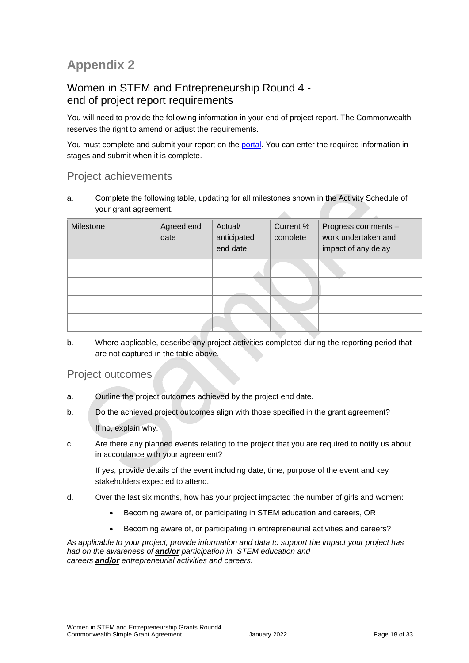## **Appendix 2**

### Women in STEM and Entrepreneurship Round 4 end of project report requirements

You will need to provide the following information in your end of project report. The Commonwealth reserves the right to amend or adjust the requirements.

You must complete and submit your report on the [portal.](https://portal.business.gov.au/) You can enter the required information in stages and submit when it is complete.

### Project achievements

a. Complete the following table, updating for all milestones shown in the Activity Schedule of your grant agreement.  $\mathcal{A}$ 

| Milestone | Agreed end<br>date | Actual/<br>anticipated<br>end date | Current %<br>complete | Progress comments -<br>work undertaken and<br>impact of any delay |
|-----------|--------------------|------------------------------------|-----------------------|-------------------------------------------------------------------|
|           |                    |                                    |                       |                                                                   |
|           |                    |                                    |                       |                                                                   |
|           |                    |                                    |                       |                                                                   |
|           |                    |                                    |                       |                                                                   |

b. Where applicable, describe any project activities completed during the reporting period that are not captured in the table above.

### Project outcomes

- a. Outline the project outcomes achieved by the project end date.
- b. Do the achieved project outcomes align with those specified in the grant agreement? If no, explain why.
- c. Are there any planned events relating to the project that you are required to notify us about in accordance with your agreement?

If yes, provide details of the event including date, time, purpose of the event and key stakeholders expected to attend.

- d. Over the last six months, how has your project impacted the number of girls and women:
	- Becoming aware of, or participating in STEM education and careers, OR
	- Becoming aware of, or participating in entrepreneurial activities and careers?

*As applicable to your project, provide information and data to support the impact your project has had on the awareness of and/or participation in STEM education and careers and/or entrepreneurial activities and careers.*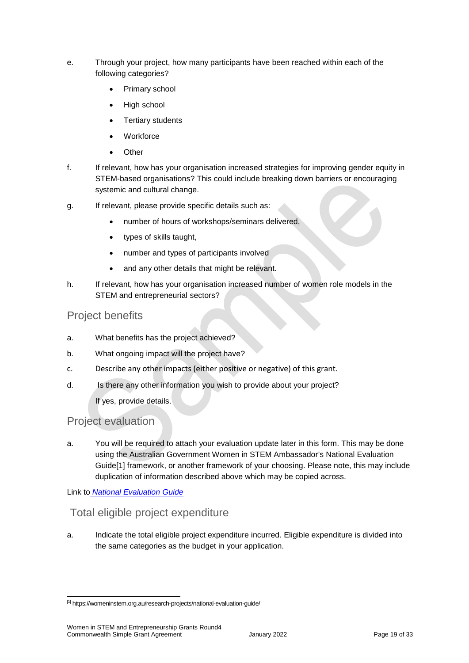- e. Through your project, how many participants have been reached within each of the following categories?
	- Primary school
	- High school
	- Tertiary students
	- **Workforce**
	- **Other**
- f. If relevant, how has your organisation increased strategies for improving gender equity in STEM-based organisations? This could include breaking down barriers or encouraging systemic and cultural change.
- g. If relevant, please provide specific details such as:
	- number of hours of workshops/seminars delivered,
	- types of skills taught,
	- number and types of participants involved
	- and any other details that might be relevant.
- h. If relevant, how has your organisation increased number of women role models in the STEM and entrepreneurial sectors?

### Project benefits

- a. What benefits has the project achieved?
- b. What ongoing impact will the project have?
- c. Describe any other impacts (either positive or negative) of this grant.
- d. Is there any other information you wish to provide about your project?

If yes, provide details.

### Project evaluation

a. You will be required to attach your evaluation update later in this form. This may be done using the Australian Government Women in STEM Ambassador's National Evaluation Guide[1] framework, or another framework of your choosing. Please note, this may include duplication of information described above which may be copied across.

Link to *[National Evaluation Guide](https://womeninstem.org.au/research-projects/national-evaluation-guide/)*

1

### Total eligible project expenditure

a. Indicate the total eligible project expenditure incurred. Eligible expenditure is divided into the same categories as the budget in your application.

<sup>[1]</sup> https://womeninstem.org.au/research-projects/national-evaluation-guide/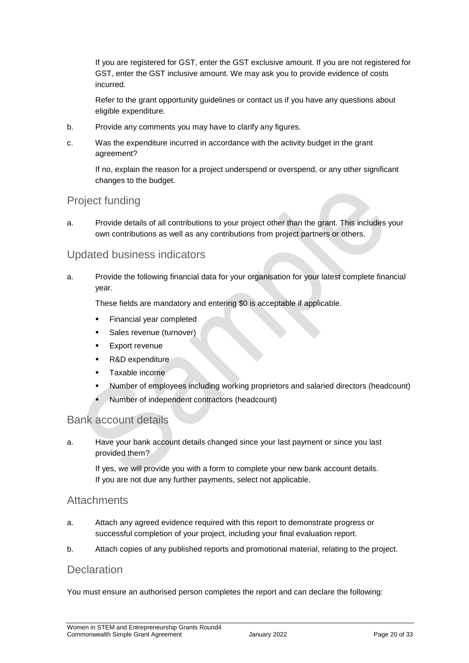If you are registered for GST, enter the GST exclusive amount. If you are not registered for GST, enter the GST inclusive amount. We may ask you to provide evidence of costs incurred.

Refer to the grant opportunity guidelines or contact us if you have any questions about eligible expenditure.

- b. Provide any comments you may have to clarify any figures.
- c. Was the expenditure incurred in accordance with the activity budget in the grant agreement?

If no, explain the reason for a project underspend or overspend, or any other significant changes to the budget.

### Project funding

a. Provide details of all contributions to your project other than the grant. This includes your own contributions as well as any contributions from project partners or others.

### Updated business indicators

a. Provide the following financial data for your organisation for your latest complete financial year.

These fields are mandatory and entering \$0 is acceptable if applicable.

- **Financial year completed**
- **Sales revenue (turnover)**
- **Export revenue**
- R&D expenditure
- **Taxable income**
- Number of employees including working proprietors and salaried directors (headcount)
- Number of independent contractors (headcount)

### Bank account details

a. Have your bank account details changed since your last payment or since you last provided them?

If yes, we will provide you with a form to complete your new bank account details. If you are not due any further payments, select not applicable.

### **Attachments**

- a. Attach any agreed evidence required with this report to demonstrate progress or successful completion of your project, including your final evaluation report.
- b. Attach copies of any published reports and promotional material, relating to the project.

### **Declaration**

You must ensure an authorised person completes the report and can declare the following: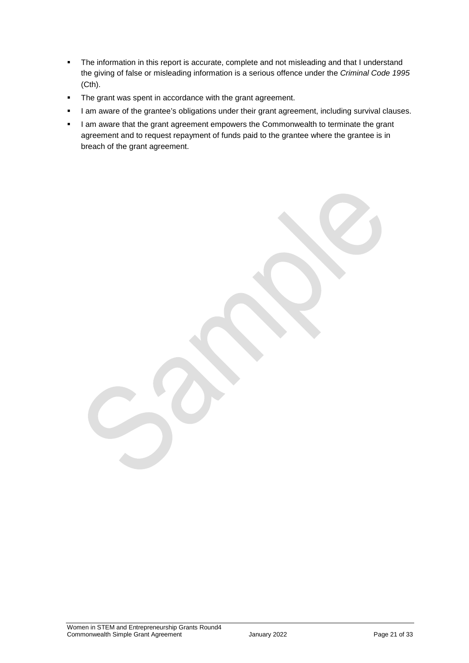- The information in this report is accurate, complete and not misleading and that I understand the giving of false or misleading information is a serious offence under the *Criminal Code 1995* (Cth).
- **The grant was spent in accordance with the grant agreement.**
- I am aware of the grantee's obligations under their grant agreement, including survival clauses.
- I am aware that the grant agreement empowers the Commonwealth to terminate the grant agreement and to request repayment of funds paid to the grantee where the grantee is in breach of the grant agreement.

Women in STEM and Entrepreneurship Grants Round4 Commonwealth Simple Grant Agreement **Commonwealth** Simple Grant Agreement January 2022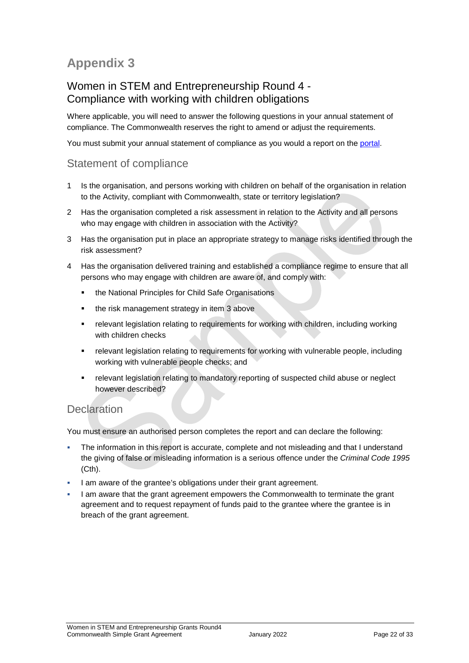## **Appendix 3**

### Women in STEM and Entrepreneurship Round 4 - Compliance with working with children obligations

Where applicable, you will need to answer the following questions in your annual statement of compliance. The Commonwealth reserves the right to amend or adjust the requirements.

You must submit your annual statement of compliance as you would a report on the [portal.](https://portal.business.gov.au/)

### Statement of compliance

- 1 Is the organisation, and persons working with children on behalf of the organisation in relation to the Activity, compliant with Commonwealth, state or territory legislation?
- 2 Has the organisation completed a risk assessment in relation to the Activity and all persons who may engage with children in association with the Activity?
- 3 Has the organisation put in place an appropriate strategy to manage risks identified through the risk assessment?
- 4 Has the organisation delivered training and established a compliance regime to ensure that all persons who may engage with children are aware of, and comply with:
	- **the National Principles for Child Safe Organisations**
	- the risk management strategy in item 3 above
	- relevant legislation relating to requirements for working with children, including working with children checks
	- relevant legislation relating to requirements for working with vulnerable people, including working with vulnerable people checks; and
	- relevant legislation relating to mandatory reporting of suspected child abuse or neglect however described?

### **Declaration**

You must ensure an authorised person completes the report and can declare the following:

- The information in this report is accurate, complete and not misleading and that I understand the giving of false or misleading information is a serious offence under the *Criminal Code 1995* (Cth).
- I am aware of the grantee's obligations under their grant agreement.
- I am aware that the grant agreement empowers the Commonwealth to terminate the grant agreement and to request repayment of funds paid to the grantee where the grantee is in breach of the grant agreement.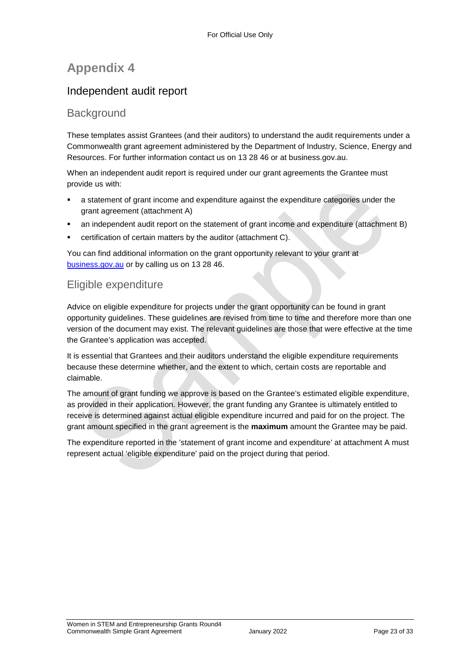## **Appendix 4**

### Independent audit report

### **Background**

These templates assist Grantees (and their auditors) to understand the audit requirements under a Commonwealth grant agreement administered by the Department of Industry, Science, Energy and Resources. For further information contact us on 13 28 46 or at business.gov.au.

When an independent audit report is required under our grant agreements the Grantee must provide us with:

- a statement of grant income and expenditure against the expenditure categories under the grant agreement (attachment A)
- an independent audit report on the statement of grant income and expenditure (attachment B)
- certification of certain matters by the auditor (attachment C).

You can find additional information on the grant opportunity relevant to your grant at [business.gov.au](https://www.business.gov.au/) or by calling us on 13 28 46.

### Eligible expenditure

Advice on eligible expenditure for projects under the grant opportunity can be found in grant opportunity guidelines. These guidelines are revised from time to time and therefore more than one version of the document may exist. The relevant guidelines are those that were effective at the time the Grantee's application was accepted.

It is essential that Grantees and their auditors understand the eligible expenditure requirements because these determine whether, and the extent to which, certain costs are reportable and claimable.

The amount of grant funding we approve is based on the Grantee's estimated eligible expenditure, as provided in their application. However, the grant funding any Grantee is ultimately entitled to receive is determined against actual eligible expenditure incurred and paid for on the project. The grant amount specified in the grant agreement is the **maximum** amount the Grantee may be paid.

The expenditure reported in the 'statement of grant income and expenditure' at attachment A must represent actual 'eligible expenditure' paid on the project during that period.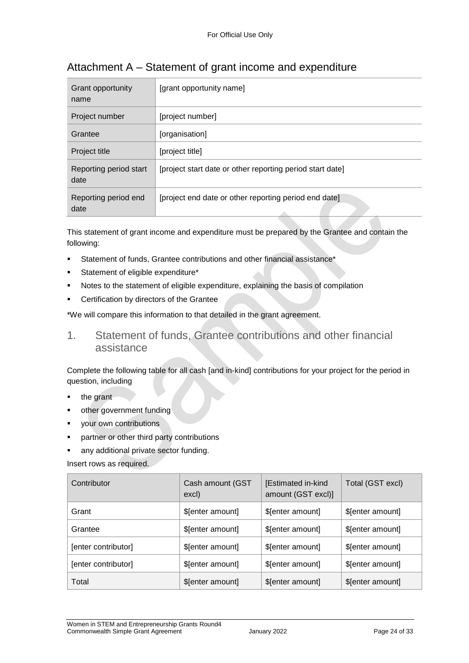| Grant opportunity<br>name      | [grant opportunity name]                                  |
|--------------------------------|-----------------------------------------------------------|
| Project number                 | [project number]                                          |
| Grantee                        | [organisation]                                            |
| Project title                  | [project title]                                           |
| Reporting period start<br>date | [project start date or other reporting period start date] |
| Reporting period end<br>date   | [project end date or other reporting period end date]     |

## Attachment A – Statement of grant income and expenditure

This statement of grant income and expenditure must be prepared by the Grantee and contain the following:

- Statement of funds, Grantee contributions and other financial assistance\*
- Statement of eligible expenditure\*
- Notes to the statement of eligible expenditure, explaining the basis of compilation
- Certification by directors of the Grantee

\*We will compare this information to that detailed in the grant agreement.

1. Statement of funds, Grantee contributions and other financial assistance

Complete the following table for all cash [and in-kind] contributions for your project for the period in question, including

- the grant
- other government funding
- your own contributions
- partner or other third party contributions
- any additional private sector funding.

Insert rows as required.

| Contributor         | Cash amount (GST<br>excl) | [Estimated in-kind<br>amount (GST excl)] | Total (GST excl)  |
|---------------------|---------------------------|------------------------------------------|-------------------|
| Grant               | \$[enter amount]          | \$[enter amount]                         | \$[enter amount]  |
| Grantee             | \$[enter amount]          | \$[enter amount]                         | \$[enter amount]  |
| [enter contributor] | \$[enter amount]          | \$[enter amount]                         | \$[enter amount]  |
| [enter contributor] | \$[enter amount]          | \$[enter amount]                         | \$ [enter amount] |
| Total               | \$[enter amount]          | \$[enter amount]                         | \$[enter amount]  |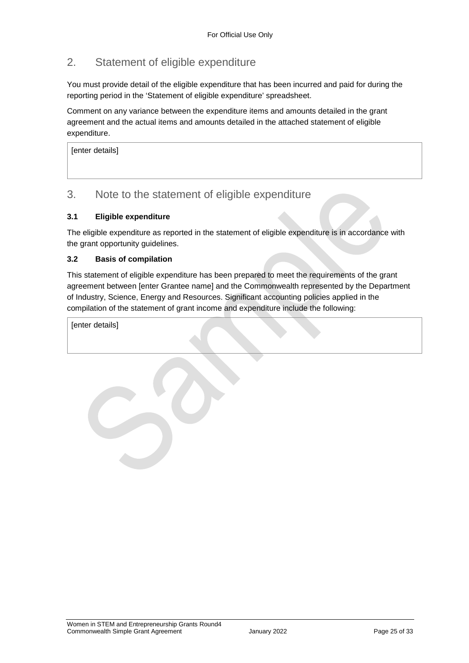### 2. Statement of eligible expenditure

You must provide detail of the eligible expenditure that has been incurred and paid for during the reporting period in the 'Statement of eligible expenditure' spreadsheet.

Comment on any variance between the expenditure items and amounts detailed in the grant agreement and the actual items and amounts detailed in the attached statement of eligible expenditure.

[enter details]

### 3. Note to the statement of eligible expenditure

#### **3.1 Eligible expenditure**

The eligible expenditure as reported in the statement of eligible expenditure is in accordance with the grant opportunity guidelines.

#### **3.2 Basis of compilation**

This statement of eligible expenditure has been prepared to meet the requirements of the grant agreement between [enter Grantee name] and the Commonwealth represented by the Department of Industry, Science, Energy and Resources. Significant accounting policies applied in the compilation of the statement of grant income and expenditure include the following:

[enter details]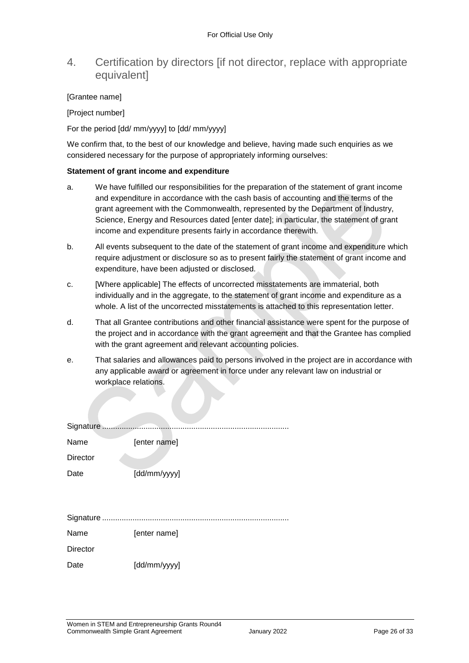### 4. Certification by directors [if not director, replace with appropriate **equivalentl**

#### [Grantee name]

[Project number]

For the period [dd/ mm/yyyy] to [dd/ mm/yyyy]

We confirm that, to the best of our knowledge and believe, having made such enquiries as we considered necessary for the purpose of appropriately informing ourselves:

#### **Statement of grant income and expenditure**

- a. We have fulfilled our responsibilities for the preparation of the statement of grant income and expenditure in accordance with the cash basis of accounting and the terms of the grant agreement with the Commonwealth, represented by the Department of Industry, Science, Energy and Resources dated [enter date]; in particular, the statement of grant income and expenditure presents fairly in accordance therewith.
- b. All events subsequent to the date of the statement of grant income and expenditure which require adjustment or disclosure so as to present fairly the statement of grant income and expenditure, have been adjusted or disclosed.
- c. [Where applicable] The effects of uncorrected misstatements are immaterial, both individually and in the aggregate, to the statement of grant income and expenditure as a whole. A list of the uncorrected misstatements is attached to this representation letter.
- d. That all Grantee contributions and other financial assistance were spent for the purpose of the project and in accordance with the grant agreement and that the Grantee has complied with the grant agreement and relevant accounting policies.
- e. That salaries and allowances paid to persons involved in the project are in accordance with any applicable award or agreement in force under any relevant law on industrial or workplace relations.

| Signature       |              |
|-----------------|--------------|
| Name            | [enter name] |
| <b>Director</b> |              |
| Date            | [dd/mm/yyyy] |
|                 |              |
|                 |              |
|                 |              |
| Name            | [enter name] |
| <b>Director</b> |              |
| Date            | [dd/mm/yyyy] |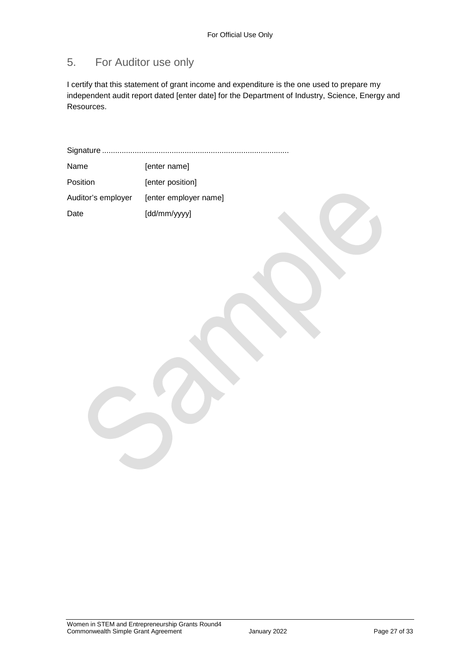## 5. For Auditor use only

I certify that this statement of grant income and expenditure is the one used to prepare my independent audit report dated [enter date] for the Department of Industry, Science, Energy and Resources.

Signature ...................................................................................... Name [enter name]

| Position           | [enter position]      |
|--------------------|-----------------------|
| Auditor's employer | [enter employer name] |
| Date               | [dd/mm/yyyy]          |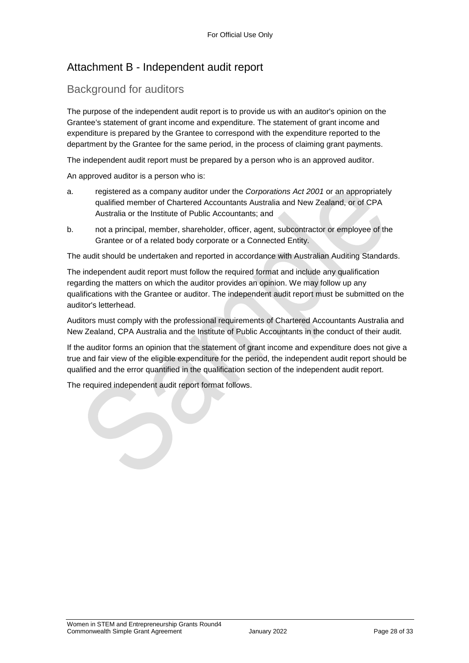### Attachment B - Independent audit report

### Background for auditors

The purpose of the independent audit report is to provide us with an auditor's opinion on the Grantee's statement of grant income and expenditure. The statement of grant income and expenditure is prepared by the Grantee to correspond with the expenditure reported to the department by the Grantee for the same period, in the process of claiming grant payments.

The independent audit report must be prepared by a person who is an approved auditor.

An approved auditor is a person who is:

- a. registered as a company auditor under the *Corporations Act 2001* or an appropriately qualified member of Chartered Accountants Australia and New Zealand, or of CPA Australia or the Institute of Public Accountants; and
- b. not a principal, member, shareholder, officer, agent, subcontractor or employee of the Grantee or of a related body corporate or a Connected Entity.

The audit should be undertaken and reported in accordance with Australian Auditing Standards.

The independent audit report must follow the required format and include any qualification regarding the matters on which the auditor provides an opinion. We may follow up any qualifications with the Grantee or auditor. The independent audit report must be submitted on the auditor's letterhead.

Auditors must comply with the professional requirements of Chartered Accountants Australia and New Zealand, CPA Australia and the Institute of Public Accountants in the conduct of their audit.

If the auditor forms an opinion that the statement of grant income and expenditure does not give a true and fair view of the eligible expenditure for the period, the independent audit report should be qualified and the error quantified in the qualification section of the independent audit report.

The required independent audit report format follows.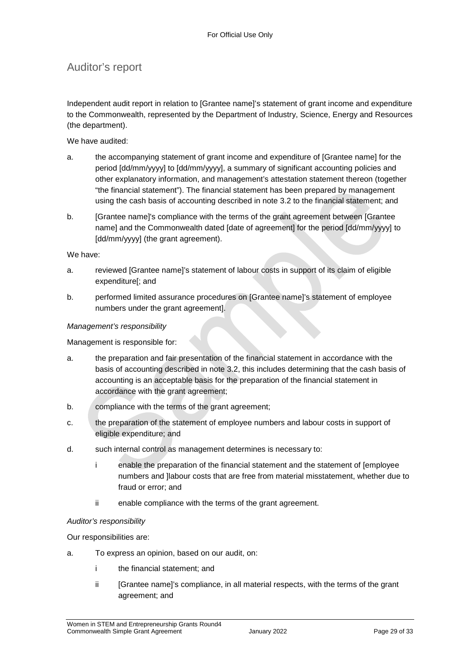### Auditor's report

Independent audit report in relation to [Grantee name]'s statement of grant income and expenditure to the Commonwealth, represented by the Department of Industry, Science, Energy and Resources (the department).

We have audited:

- a. the accompanying statement of grant income and expenditure of [Grantee name] for the period [dd/mm/yyyy] to [dd/mm/yyyy], a summary of significant accounting policies and other explanatory information, and management's attestation statement thereon (together "the financial statement"). The financial statement has been prepared by management using the cash basis of accounting described in note 3.2 to the financial statement; and
- b. [Grantee name]'s compliance with the terms of the grant agreement between [Grantee name] and the Commonwealth dated [date of agreement] for the period [dd/mm/yyyy] to [dd/mm/yyyy] (the grant agreement).

We have:

- a. reviewed [Grantee name]'s statement of labour costs in support of its claim of eligible expenditure[; and
- b. performed limited assurance procedures on [Grantee name]'s statement of employee numbers under the grant agreement].

#### *Management's responsibility*

Management is responsible for:

- a. the preparation and fair presentation of the financial statement in accordance with the basis of accounting described in note 3.2, this includes determining that the cash basis of accounting is an acceptable basis for the preparation of the financial statement in accordance with the grant agreement;
- b. compliance with the terms of the grant agreement;
- c. the preparation of the statement of employee numbers and labour costs in support of eligible expenditure; and
- d. such internal control as management determines is necessary to:
	- i enable the preparation of the financial statement and the statement of [employee numbers and ]labour costs that are free from material misstatement, whether due to fraud or error; and
	- ii enable compliance with the terms of the grant agreement.

#### *Auditor's responsibility*

Our responsibilities are:

- a. To express an opinion, based on our audit, on:
	- i the financial statement; and
	- ii [Grantee name]'s compliance, in all material respects, with the terms of the grant agreement; and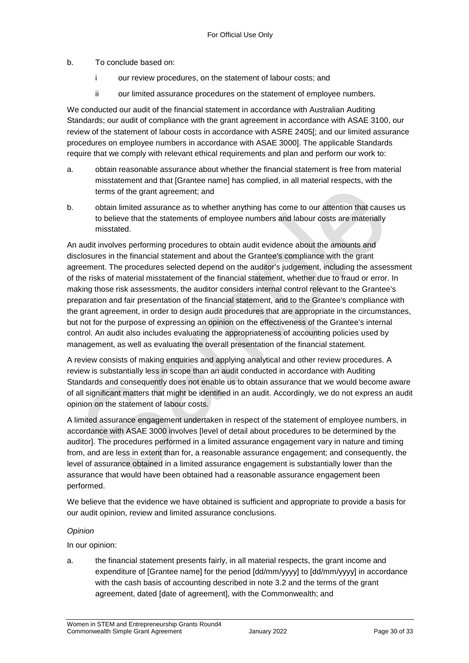#### b. To conclude based on:

- i our review procedures, on the statement of labour costs; and
- ii our limited assurance procedures on the statement of employee numbers.

We conducted our audit of the financial statement in accordance with Australian Auditing Standards; our audit of compliance with the grant agreement in accordance with ASAE 3100, our review of the statement of labour costs in accordance with ASRE 2405[; and our limited assurance procedures on employee numbers in accordance with ASAE 3000]. The applicable Standards require that we comply with relevant ethical requirements and plan and perform our work to:

- a. obtain reasonable assurance about whether the financial statement is free from material misstatement and that [Grantee name] has complied, in all material respects, with the terms of the grant agreement; and
- b. obtain limited assurance as to whether anything has come to our attention that causes us to believe that the statements of employee numbers and labour costs are materially misstated.

An audit involves performing procedures to obtain audit evidence about the amounts and disclosures in the financial statement and about the Grantee's compliance with the grant agreement. The procedures selected depend on the auditor's judgement, including the assessment of the risks of material misstatement of the financial statement, whether due to fraud or error. In making those risk assessments, the auditor considers internal control relevant to the Grantee's preparation and fair presentation of the financial statement, and to the Grantee's compliance with the grant agreement, in order to design audit procedures that are appropriate in the circumstances, but not for the purpose of expressing an opinion on the effectiveness of the Grantee's internal control. An audit also includes evaluating the appropriateness of accounting policies used by management, as well as evaluating the overall presentation of the financial statement.

A review consists of making enquiries and applying analytical and other review procedures. A review is substantially less in scope than an audit conducted in accordance with Auditing Standards and consequently does not enable us to obtain assurance that we would become aware of all significant matters that might be identified in an audit. Accordingly, we do not express an audit opinion on the statement of labour costs.

A limited assurance engagement undertaken in respect of the statement of employee numbers, in accordance with ASAE 3000 involves [level of detail about procedures to be determined by the auditor]. The procedures performed in a limited assurance engagement vary in nature and timing from, and are less in extent than for, a reasonable assurance engagement; and consequently, the level of assurance obtained in a limited assurance engagement is substantially lower than the assurance that would have been obtained had a reasonable assurance engagement been performed.

We believe that the evidence we have obtained is sufficient and appropriate to provide a basis for our audit opinion, review and limited assurance conclusions.

#### *Opinion*

In our opinion:

a. the financial statement presents fairly, in all material respects, the grant income and expenditure of [Grantee name] for the period [dd/mm/yyyy] to [dd/mm/yyyy] in accordance with the cash basis of accounting described in note 3.2 and the terms of the grant agreement, dated [date of agreement], with the Commonwealth; and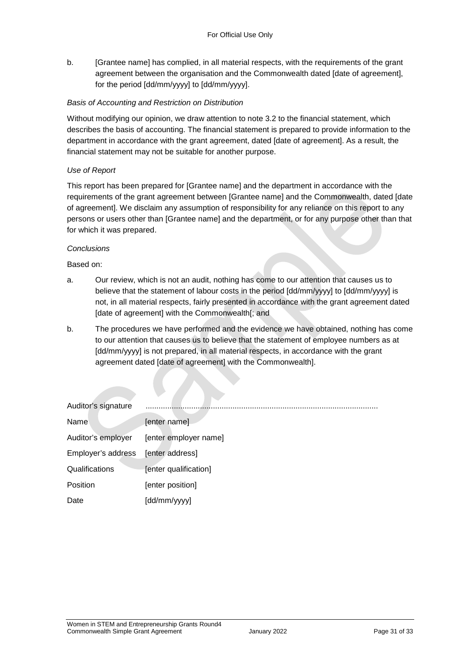b. [Grantee name] has complied, in all material respects, with the requirements of the grant agreement between the organisation and the Commonwealth dated [date of agreement], for the period [dd/mm/yyyy] to [dd/mm/yyyy].

#### *Basis of Accounting and Restriction on Distribution*

Without modifying our opinion, we draw attention to note 3.2 to the financial statement, which describes the basis of accounting. The financial statement is prepared to provide information to the department in accordance with the grant agreement, dated [date of agreement]. As a result, the financial statement may not be suitable for another purpose.

#### *Use of Report*

This report has been prepared for [Grantee name] and the department in accordance with the requirements of the grant agreement between [Grantee name] and the Commonwealth, dated [date of agreement]. We disclaim any assumption of responsibility for any reliance on this report to any persons or users other than [Grantee name] and the department, or for any purpose other than that for which it was prepared.

#### *Conclusions*

Based on:

- a. Our review, which is not an audit, nothing has come to our attention that causes us to believe that the statement of labour costs in the period [dd/mm/yyyy] to [dd/mm/yyyy] is not, in all material respects, fairly presented in accordance with the grant agreement dated [date of agreement] with the Commonwealth[; and
- b. The procedures we have performed and the evidence we have obtained, nothing has come to our attention that causes us to believe that the statement of employee numbers as at [dd/mm/yyyy] is not prepared, in all material respects, in accordance with the grant agreement dated [date of agreement] with the Commonwealth].

| Auditor's signature |                       |
|---------------------|-----------------------|
| Name                | [enter name]          |
| Auditor's employer  | [enter employer name] |
| Employer's address  | [enter address]       |
| Qualifications      | [enter qualification] |
| Position            | [enter position]      |
| Date                | [dd/mm/yyyy]          |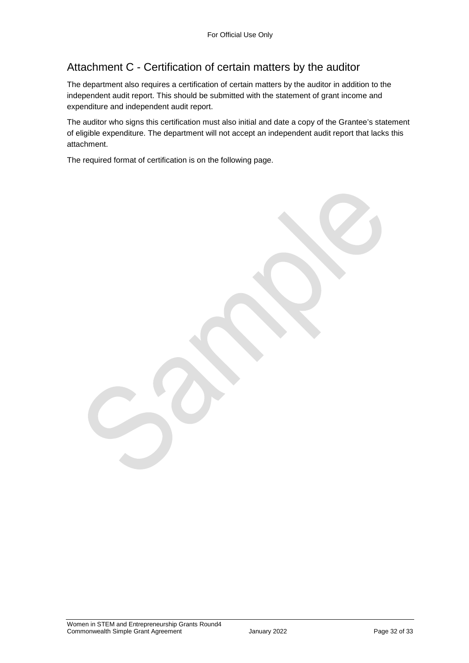## Attachment C - Certification of certain matters by the auditor

The department also requires a certification of certain matters by the auditor in addition to the independent audit report. This should be submitted with the statement of grant income and expenditure and independent audit report.

The auditor who signs this certification must also initial and date a copy of the Grantee's statement of eligible expenditure. The department will not accept an independent audit report that lacks this attachment.

The required format of certification is on the following page.